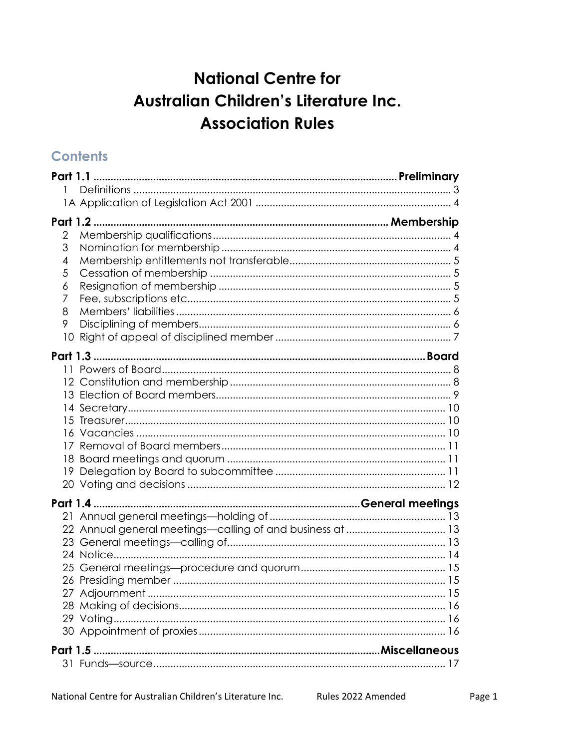# **National Centre for** Australian Children's Literature Inc. **Association Rules**

# **Contents**

| 2  |
|----|
| 3  |
| 4  |
| 5  |
| 6  |
| 7  |
| 8  |
| 9  |
| 10 |
|    |
|    |
|    |
|    |
|    |
| 15 |
|    |
|    |
|    |
|    |
|    |
|    |
|    |
|    |
|    |
|    |
|    |
|    |
|    |
|    |
|    |
|    |
|    |
|    |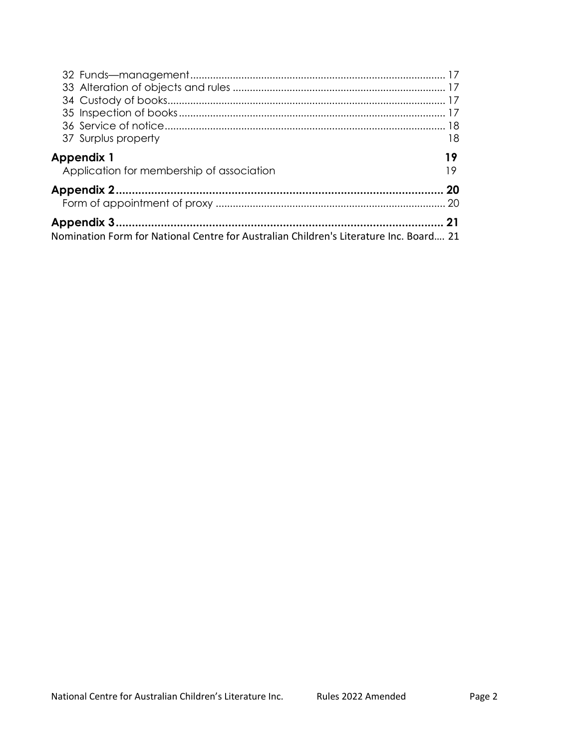| 37 Surplus property                                                                    | 18       |
|----------------------------------------------------------------------------------------|----------|
| <b>Appendix 1</b><br>Application for membership of association                         | 19<br>19 |
|                                                                                        | -20      |
|                                                                                        |          |
|                                                                                        | 21       |
| Nomination Form for National Centre for Australian Children's Literature Inc. Board 21 |          |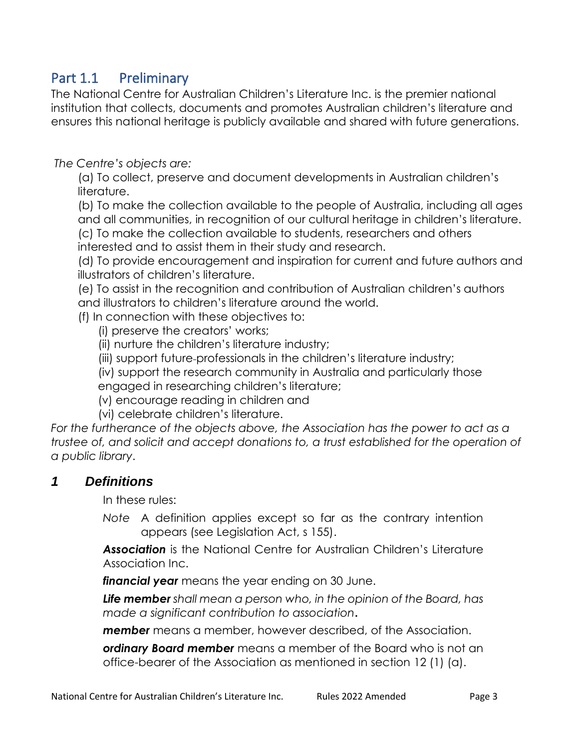# Part 1.1 Preliminary

The National Centre for Australian Children's Literature Inc. is the premier national institution that collects, documents and promotes Australian children's literature and ensures this national heritage is publicly available and shared with future generations.

#### *The Centre's objects are:*

(a) To collect, preserve and document developments in Australian children's literature.

(b) To make the collection available to the people of Australia, including all ages and all communities, in recognition of our cultural heritage in children's literature.

(c) To make the collection available to students, researchers and others

interested and to assist them in their study and research.

(d) To provide encouragement and inspiration for current and future authors and illustrators of children's literature.

(e) To assist in the recognition and contribution of Australian children's authors and illustrators to children's literature around the world.

(f) In connection with these objectives to:

(i) preserve the creators' works;

(ii) nurture the children's literature industry;

(iii) support future professionals in the children's literature industry;

(iv) support the research community in Australia and particularly those engaged in researching children's literature;

(v) encourage reading in children and

(vi) celebrate children's literature.

For the furtherance of the objects above, the Association has the power to act as a *trustee of, and solicit and accept donations to, a trust established for the operation of a public library*.

#### *1 Definitions*

In these rules:

*Note* A definition applies except so far as the contrary intention appears (see Legislation Act, s 155).

*Association* is the National Centre for Australian Children's Literature Association Inc.

*financial year* means the year ending on 30 June.

*Life member shall mean a person who, in the opinion of the Board, has made a significant contribution to association***.** 

*member* means a member, however described, of the Association.

*ordinary Board member* means a member of the Board who is not an office-bearer of the Association as mentioned in section 12 (1) (a).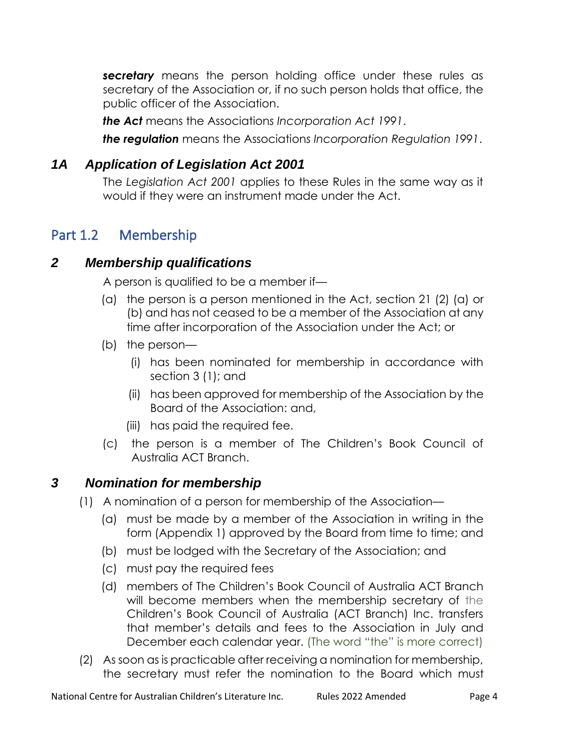*secretary* means the person holding office under these rules as secretary of the Association or, if no such person holds that office, the public officer of the Association.

*the Act* means the Association*s Incorporation Act 1991*.

*the regulation* means the Association*s Incorporation Regulation 1991*.

### *1A Application of Legislation Act 2001*

The *Legislation Act 2001* applies to these Rules in the same way as it would if they were an instrument made under the Act.

# Part 1.2 Membership

#### *2 Membership qualifications*

A person is qualified to be a member if—

- (a) the person is a person mentioned in the Act, section 21 (2) (a) or (b) and has not ceased to be a member of the Association at any time after incorporation of the Association under the Act; or
- (b) the person—
	- (i) has been nominated for membership in accordance with section 3 (1); and
	- (ii) has been approved for membership of the Association by the Board of the Association: and,
	- (iii) has paid the required fee.
- (c) the person is a member of The Children's Book Council of Australia ACT Branch.

### *3 Nomination for membership*

- (1) A nomination of a person for membership of the Association—
	- (a) must be made by a member of the Association in writing in the form (Appendix 1) approved by the Board from time to time; and
	- (b) must be lodged with the Secretary of the Association; and
	- (c) must pay the required fees
	- (d) members of The Children's Book Council of Australia ACT Branch will become members when the membership secretary of the Children's Book Council of Australia (ACT Branch) Inc. transfers that member's details and fees to the Association in July and December each calendar year. (The word "the" is more correct)
- (2) As soon as is practicable after receiving a nomination for membership, the secretary must refer the nomination to the Board which must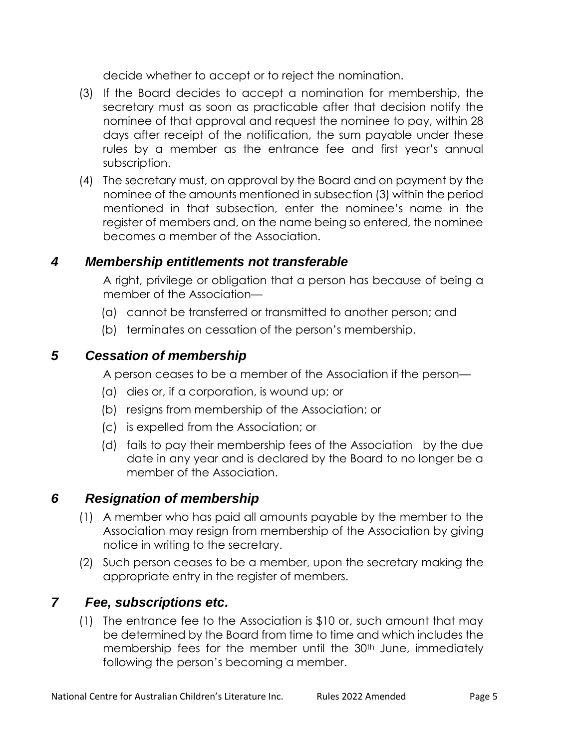decide whether to accept or to reject the nomination.

- (3) If the Board decides to accept a nomination for membership, the secretary must as soon as practicable after that decision notify the nominee of that approval and request the nominee to pay, within 28 days after receipt of the notification, the sum payable under these rules by a member as the entrance fee and first year's annual subscription.
- (4) The secretary must, on approval by the Board and on payment by the nominee of the amounts mentioned in subsection (3) within the period mentioned in that subsection, enter the nominee's name in the register of members and, on the name being so entered, the nominee becomes a member of the Association.

#### *4 Membership entitlements not transferable*

A right, privilege or obligation that a person has because of being a member of the Association—

- (a) cannot be transferred or transmitted to another person; and
- (b) terminates on cessation of the person's membership.

### *5 Cessation of membership*

A person ceases to be a member of the Association if the person—

- (a) dies or, if a corporation, is wound up; or
- (b) resigns from membership of the Association; or
- (c) is expelled from the Association; or
- (d) fails to pay their membership fees of the Association by the due date in any year and is declared by the Board to no longer be a member of the Association.

### *6 Resignation of membership*

- (1) A member who has paid all amounts payable by the member to the Association may resign from membership of the Association by giving notice in writing to the secretary.
- (2) Such person ceases to be a member, upon the secretary making the appropriate entry in the register of members.

### *7 Fee, subscriptions etc.*

(1) The entrance fee to the Association is \$10 or, such amount that may be determined by the Board from time to time and which includes the membership fees for the member until the 30<sup>th</sup> June, immediately following the person's becoming a member.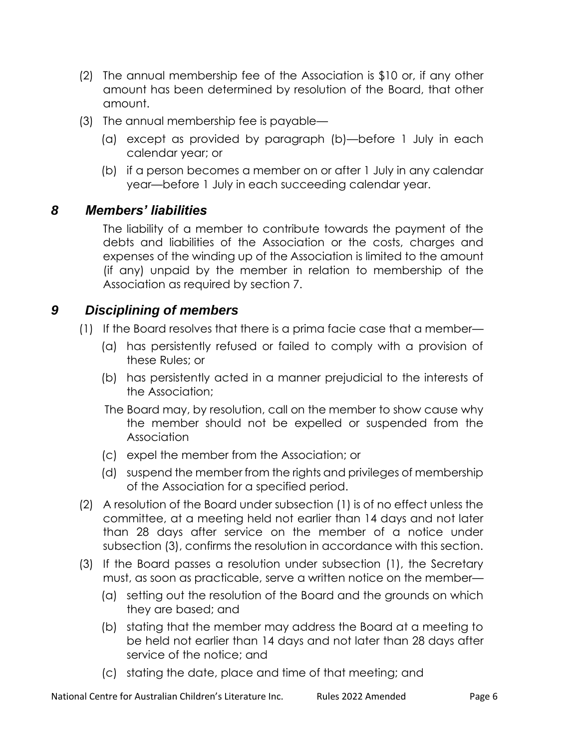- (2) The annual membership fee of the Association is \$10 or, if any other amount has been determined by resolution of the Board, that other amount.
- (3) The annual membership fee is payable—
	- (a) except as provided by paragraph (b)—before 1 July in each calendar year; or
	- (b) if a person becomes a member on or after 1 July in any calendar year—before 1 July in each succeeding calendar year.

### *8 Members' liabilities*

The liability of a member to contribute towards the payment of the debts and liabilities of the Association or the costs, charges and expenses of the winding up of the Association is limited to the amount (if any) unpaid by the member in relation to membership of the Association as required by section 7.

### *9 Disciplining of members*

- (1) If the Board resolves that there is a prima facie case that a member—
	- (a) has persistently refused or failed to comply with a provision of these Rules; or
	- (b) has persistently acted in a manner prejudicial to the interests of the Association;
	- The Board may, by resolution, call on the member to show cause why the member should not be expelled or suspended from the Association
	- (c) expel the member from the Association; or
	- (d) suspend the member from the rights and privileges of membership of the Association for a specified period.
- (2) A resolution of the Board under subsection (1) is of no effect unless the committee, at a meeting held not earlier than 14 days and not later than 28 days after service on the member of a notice under subsection (3), confirms the resolution in accordance with this section.
- (3) If the Board passes a resolution under subsection (1), the Secretary must, as soon as practicable, serve a written notice on the member—
	- (a) setting out the resolution of the Board and the grounds on which they are based; and
	- (b) stating that the member may address the Board at a meeting to be held not earlier than 14 days and not later than 28 days after service of the notice; and
	- (c) stating the date, place and time of that meeting; and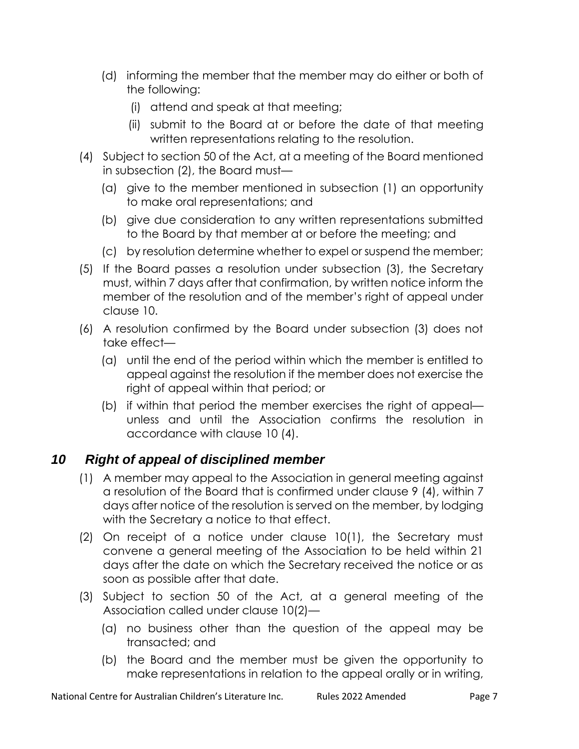- (d) informing the member that the member may do either or both of the following:
	- (i) attend and speak at that meeting;
	- (ii) submit to the Board at or before the date of that meeting written representations relating to the resolution.
- (4) Subject to section 50 of the Act, at a meeting of the Board mentioned in subsection (2), the Board must—
	- (a) give to the member mentioned in subsection (1) an opportunity to make oral representations; and
	- (b) give due consideration to any written representations submitted to the Board by that member at or before the meeting; and
	- (c) by resolution determine whether to expel or suspend the member;
- (5) If the Board passes a resolution under subsection (3), the Secretary must, within 7 days after that confirmation, by written notice inform the member of the resolution and of the member's right of appeal under clause 10.
- (6) A resolution confirmed by the Board under subsection (3) does not take effect—
	- (a) until the end of the period within which the member is entitled to appeal against the resolution if the member does not exercise the right of appeal within that period; or
	- (b) if within that period the member exercises the right of appeal unless and until the Association confirms the resolution in accordance with clause 10 (4).

# *10 Right of appeal of disciplined member*

- (1) A member may appeal to the Association in general meeting against a resolution of the Board that is confirmed under clause 9 (4), within 7 days after notice of the resolution is served on the member, by lodging with the Secretary a notice to that effect.
- (2) On receipt of a notice under clause 10(1), the Secretary must convene a general meeting of the Association to be held within 21 days after the date on which the Secretary received the notice or as soon as possible after that date.
- (3) Subject to section 50 of the Act, at a general meeting of the Association called under clause 10(2)—
	- (a) no business other than the question of the appeal may be transacted; and
	- (b) the Board and the member must be given the opportunity to make representations in relation to the appeal orally or in writing,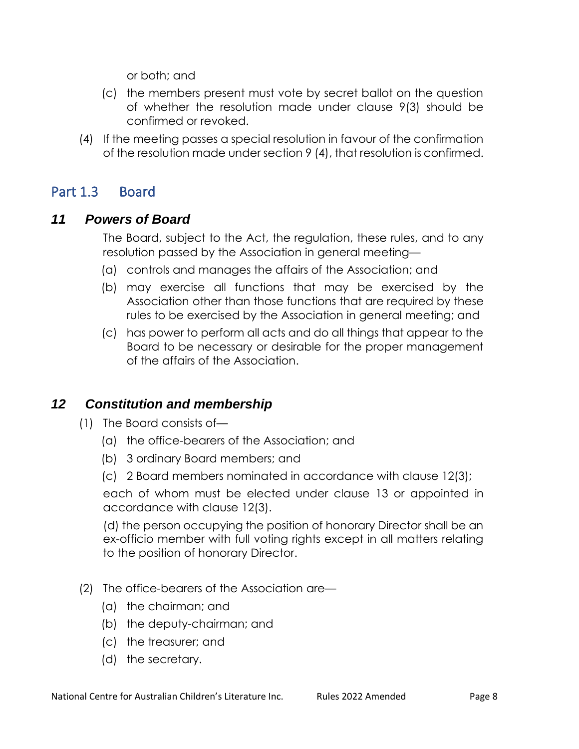or both; and

- (c) the members present must vote by secret ballot on the question of whether the resolution made under clause 9(3) should be confirmed or revoked.
- (4) If the meeting passes a special resolution in favour of the confirmation of the resolution made under section 9 (4), that resolution is confirmed.

# Part 1.3 Board

### *11 Powers of Board*

The Board, subject to the Act, the regulation, these rules, and to any resolution passed by the Association in general meeting—

- (a) controls and manages the affairs of the Association; and
- (b) may exercise all functions that may be exercised by the Association other than those functions that are required by these rules to be exercised by the Association in general meeting; and
- (c) has power to perform all acts and do all things that appear to the Board to be necessary or desirable for the proper management of the affairs of the Association.

### *12 Constitution and membership*

- (1) The Board consists of—
	- (a) the office-bearers of the Association; and
	- (b) 3 ordinary Board members; and
	- (c) 2 Board members nominated in accordance with clause 12(3);

each of whom must be elected under clause 13 or appointed in accordance with clause 12(3).

(d) the person occupying the position of honorary Director shall be an ex-officio member with full voting rights except in all matters relating to the position of honorary Director.

- (2) The office-bearers of the Association are—
	- (a) the chairman; and
	- (b) the deputy-chairman; and
	- (c) the treasurer; and
	- (d) the secretary.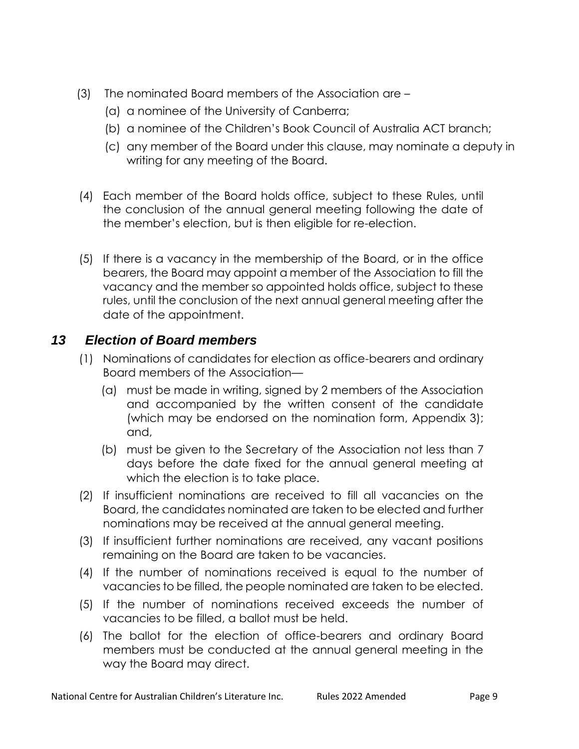- (3) The nominated Board members of the Association are
	- (a) a nominee of the University of Canberra;
	- (b) a nominee of the Children's Book Council of Australia ACT branch;
	- (c) any member of the Board under this clause, may nominate a deputy in writing for any meeting of the Board.
- (4) Each member of the Board holds office, subject to these Rules, until the conclusion of the annual general meeting following the date of the member's election, but is then eligible for re-election.
- (5) If there is a vacancy in the membership of the Board, or in the office bearers, the Board may appoint a member of the Association to fill the vacancy and the member so appointed holds office, subject to these rules, until the conclusion of the next annual general meeting after the date of the appointment.

### *13 Election of Board members*

- (1) Nominations of candidates for election as office-bearers and ordinary Board members of the Association—
	- (a) must be made in writing, signed by 2 members of the Association and accompanied by the written consent of the candidate (which may be endorsed on the nomination form, Appendix 3); and,
	- (b) must be given to the Secretary of the Association not less than 7 days before the date fixed for the annual general meeting at which the election is to take place.
- (2) If insufficient nominations are received to fill all vacancies on the Board, the candidates nominated are taken to be elected and further nominations may be received at the annual general meeting.
- (3) If insufficient further nominations are received, any vacant positions remaining on the Board are taken to be vacancies.
- (4) If the number of nominations received is equal to the number of vacancies to be filled, the people nominated are taken to be elected.
- (5) If the number of nominations received exceeds the number of vacancies to be filled, a ballot must be held.
- (6) The ballot for the election of office-bearers and ordinary Board members must be conducted at the annual general meeting in the way the Board may direct.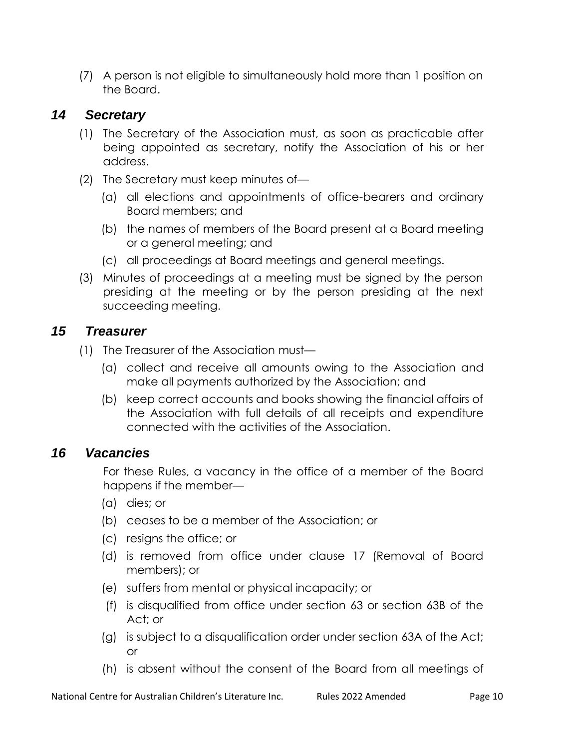(7) A person is not eligible to simultaneously hold more than 1 position on the Board.

### *14 Secretary*

- (1) The Secretary of the Association must, as soon as practicable after being appointed as secretary, notify the Association of his or her address.
- (2) The Secretary must keep minutes of—
	- (a) all elections and appointments of office-bearers and ordinary Board members; and
	- (b) the names of members of the Board present at a Board meeting or a general meeting; and
	- (c) all proceedings at Board meetings and general meetings.
- (3) Minutes of proceedings at a meeting must be signed by the person presiding at the meeting or by the person presiding at the next succeeding meeting.

### *15 Treasurer*

- (1) The Treasurer of the Association must—
	- (a) collect and receive all amounts owing to the Association and make all payments authorized by the Association; and
	- (b) keep correct accounts and books showing the financial affairs of the Association with full details of all receipts and expenditure connected with the activities of the Association.

#### *16 Vacancies*

For these Rules, a vacancy in the office of a member of the Board happens if the member—

- (a) dies; or
- (b) ceases to be a member of the Association; or
- (c) resigns the office; or
- (d) is removed from office under clause 17 (Removal of Board members); or
- (e) suffers from mental or physical incapacity; or
- (f) is disqualified from office under section 63 or section 63B of the Act; or
- (g) is subject to a disqualification order under section 63A of the Act; or
- (h) is absent without the consent of the Board from all meetings of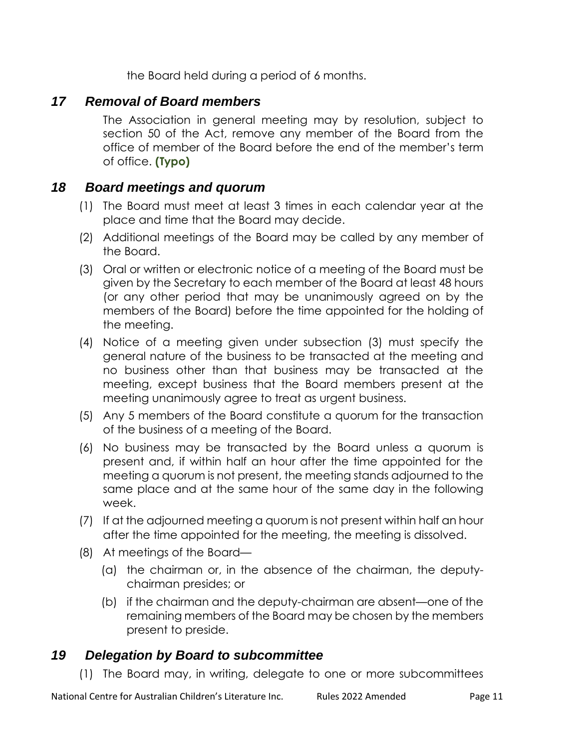the Board held during a period of 6 months.

### *17 Removal of Board members*

The Association in general meeting may by resolution, subject to section 50 of the Act, remove any member of the Board from the office of member of the Board before the end of the member's term of office. **(Typo)**

#### *18 Board meetings and quorum*

- (1) The Board must meet at least 3 times in each calendar year at the place and time that the Board may decide.
- (2) Additional meetings of the Board may be called by any member of the Board.
- (3) Oral or written or electronic notice of a meeting of the Board must be given by the Secretary to each member of the Board at least 48 hours (or any other period that may be unanimously agreed on by the members of the Board) before the time appointed for the holding of the meeting.
- (4) Notice of a meeting given under subsection (3) must specify the general nature of the business to be transacted at the meeting and no business other than that business may be transacted at the meeting, except business that the Board members present at the meeting unanimously agree to treat as urgent business.
- (5) Any 5 members of the Board constitute a quorum for the transaction of the business of a meeting of the Board.
- (6) No business may be transacted by the Board unless a quorum is present and, if within half an hour after the time appointed for the meeting a quorum is not present, the meeting stands adjourned to the same place and at the same hour of the same day in the following week.
- (7) If at the adjourned meeting a quorum is not present within half an hour after the time appointed for the meeting, the meeting is dissolved.
- (8) At meetings of the Board—
	- (a) the chairman or, in the absence of the chairman, the deputychairman presides; or
	- (b) if the chairman and the deputy-chairman are absent—one of the remaining members of the Board may be chosen by the members present to preside.

#### *19 Delegation by Board to subcommittee*

(1) The Board may, in writing, delegate to one or more subcommittees

National Centre for Australian Children's Literature Inc. <br>Rules 2022 Amended Page 11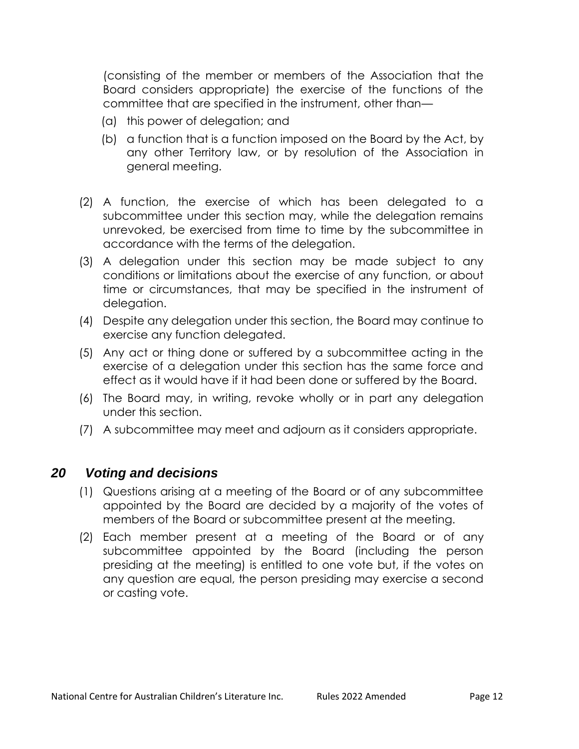(consisting of the member or members of the Association that the Board considers appropriate) the exercise of the functions of the committee that are specified in the instrument, other than—

- (a) this power of delegation; and
- (b) a function that is a function imposed on the Board by the Act, by any other Territory law, or by resolution of the Association in general meeting.
- (2) A function, the exercise of which has been delegated to a subcommittee under this section may, while the delegation remains unrevoked, be exercised from time to time by the subcommittee in accordance with the terms of the delegation.
- (3) A delegation under this section may be made subject to any conditions or limitations about the exercise of any function, or about time or circumstances, that may be specified in the instrument of delegation.
- (4) Despite any delegation under this section, the Board may continue to exercise any function delegated.
- (5) Any act or thing done or suffered by a subcommittee acting in the exercise of a delegation under this section has the same force and effect as it would have if it had been done or suffered by the Board.
- (6) The Board may, in writing, revoke wholly or in part any delegation under this section.
- (7) A subcommittee may meet and adjourn as it considers appropriate.

#### *20 Voting and decisions*

- (1) Questions arising at a meeting of the Board or of any subcommittee appointed by the Board are decided by a majority of the votes of members of the Board or subcommittee present at the meeting.
- (2) Each member present at a meeting of the Board or of any subcommittee appointed by the Board (including the person presiding at the meeting) is entitled to one vote but, if the votes on any question are equal, the person presiding may exercise a second or casting vote.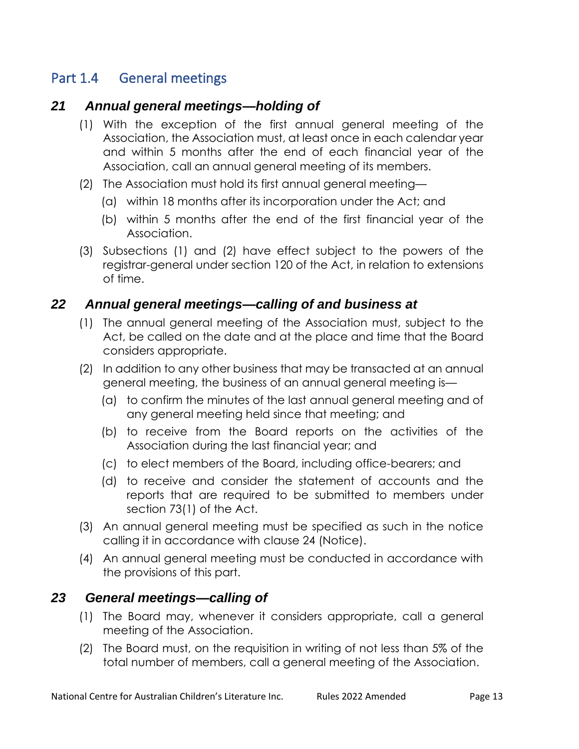# Part 1.4 General meetings

#### *21 Annual general meetings—holding of*

- (1) With the exception of the first annual general meeting of the Association, the Association must, at least once in each calendar year and within 5 months after the end of each financial year of the Association, call an annual general meeting of its members.
- (2) The Association must hold its first annual general meeting—
	- (a) within 18 months after its incorporation under the Act; and
	- (b) within 5 months after the end of the first financial year of the Association.
- (3) Subsections (1) and (2) have effect subject to the powers of the registrar-general under section 120 of the Act, in relation to extensions of time.

#### *22 Annual general meetings—calling of and business at*

- (1) The annual general meeting of the Association must, subject to the Act, be called on the date and at the place and time that the Board considers appropriate.
- (2) In addition to any other business that may be transacted at an annual general meeting, the business of an annual general meeting is—
	- (a) to confirm the minutes of the last annual general meeting and of any general meeting held since that meeting; and
	- (b) to receive from the Board reports on the activities of the Association during the last financial year; and
	- (c) to elect members of the Board, including office-bearers; and
	- (d) to receive and consider the statement of accounts and the reports that are required to be submitted to members under section 73(1) of the Act.
- (3) An annual general meeting must be specified as such in the notice calling it in accordance with clause 24 (Notice).
- (4) An annual general meeting must be conducted in accordance with the provisions of this part.

#### *23 General meetings—calling of*

- (1) The Board may, whenever it considers appropriate, call a general meeting of the Association.
- (2) The Board must, on the requisition in writing of not less than 5% of the total number of members, call a general meeting of the Association.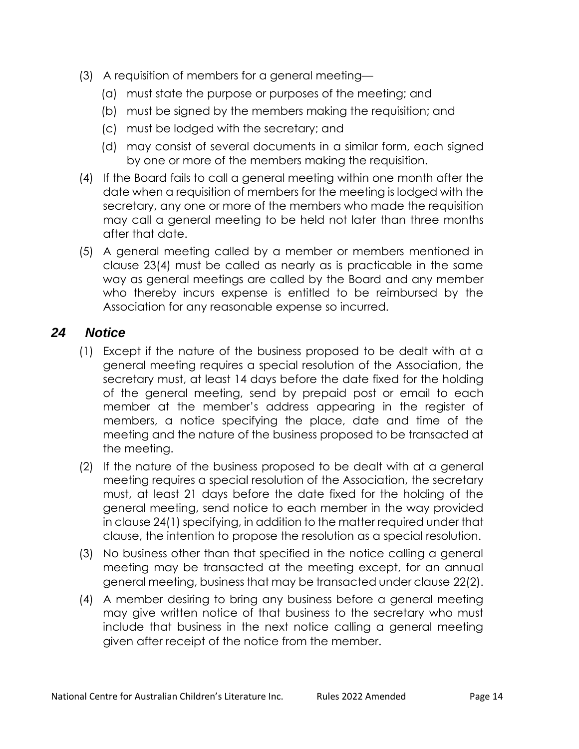- (3) A requisition of members for a general meeting—
	- (a) must state the purpose or purposes of the meeting; and
	- (b) must be signed by the members making the requisition; and
	- (c) must be lodged with the secretary; and
	- (d) may consist of several documents in a similar form, each signed by one or more of the members making the requisition.
- (4) If the Board fails to call a general meeting within one month after the date when a requisition of members for the meeting is lodged with the secretary, any one or more of the members who made the requisition may call a general meeting to be held not later than three months after that date.
- (5) A general meeting called by a member or members mentioned in clause 23(4) must be called as nearly as is practicable in the same way as general meetings are called by the Board and any member who thereby incurs expense is entitled to be reimbursed by the Association for any reasonable expense so incurred.

#### *24 Notice*

- (1) Except if the nature of the business proposed to be dealt with at a general meeting requires a special resolution of the Association, the secretary must, at least 14 days before the date fixed for the holding of the general meeting, send by prepaid post or email to each member at the member's address appearing in the register of members, a notice specifying the place, date and time of the meeting and the nature of the business proposed to be transacted at the meeting.
- (2) If the nature of the business proposed to be dealt with at a general meeting requires a special resolution of the Association, the secretary must, at least 21 days before the date fixed for the holding of the general meeting, send notice to each member in the way provided in clause 24(1) specifying, in addition to the matter required under that clause, the intention to propose the resolution as a special resolution.
- (3) No business other than that specified in the notice calling a general meeting may be transacted at the meeting except, for an annual general meeting, business that may be transacted under clause 22(2).
- (4) A member desiring to bring any business before a general meeting may give written notice of that business to the secretary who must include that business in the next notice calling a general meeting given after receipt of the notice from the member.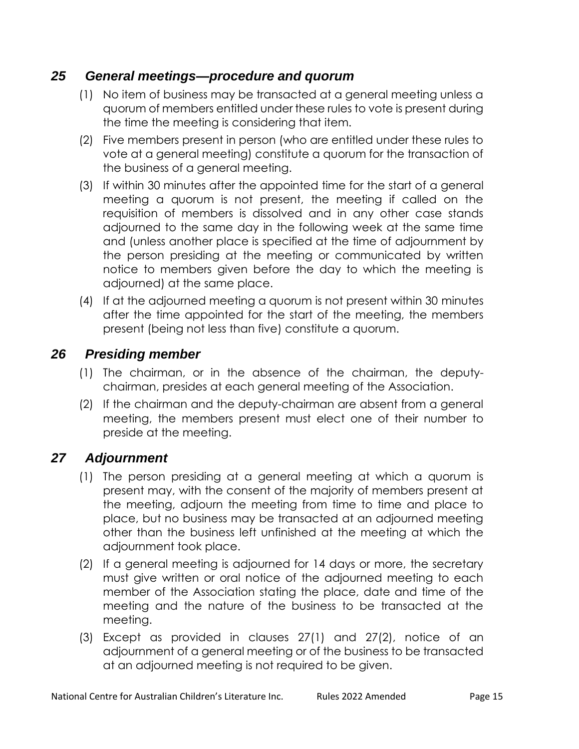### *25 General meetings—procedure and quorum*

- (1) No item of business may be transacted at a general meeting unless a quorum of members entitled under these rules to vote is present during the time the meeting is considering that item.
- (2) Five members present in person (who are entitled under these rules to vote at a general meeting) constitute a quorum for the transaction of the business of a general meeting.
- (3) If within 30 minutes after the appointed time for the start of a general meeting a quorum is not present, the meeting if called on the requisition of members is dissolved and in any other case stands adjourned to the same day in the following week at the same time and (unless another place is specified at the time of adjournment by the person presiding at the meeting or communicated by written notice to members given before the day to which the meeting is adjourned) at the same place.
- (4) If at the adjourned meeting a quorum is not present within 30 minutes after the time appointed for the start of the meeting, the members present (being not less than five) constitute a quorum.

### *26 Presiding member*

- (1) The chairman, or in the absence of the chairman, the deputychairman, presides at each general meeting of the Association.
- (2) If the chairman and the deputy-chairman are absent from a general meeting, the members present must elect one of their number to preside at the meeting.

#### *27 Adjournment*

- (1) The person presiding at a general meeting at which a quorum is present may, with the consent of the majority of members present at the meeting, adjourn the meeting from time to time and place to place, but no business may be transacted at an adjourned meeting other than the business left unfinished at the meeting at which the adjournment took place.
- (2) If a general meeting is adjourned for 14 days or more, the secretary must give written or oral notice of the adjourned meeting to each member of the Association stating the place, date and time of the meeting and the nature of the business to be transacted at the meeting.
- (3) Except as provided in clauses 27(1) and 27(2), notice of an adjournment of a general meeting or of the business to be transacted at an adjourned meeting is not required to be given.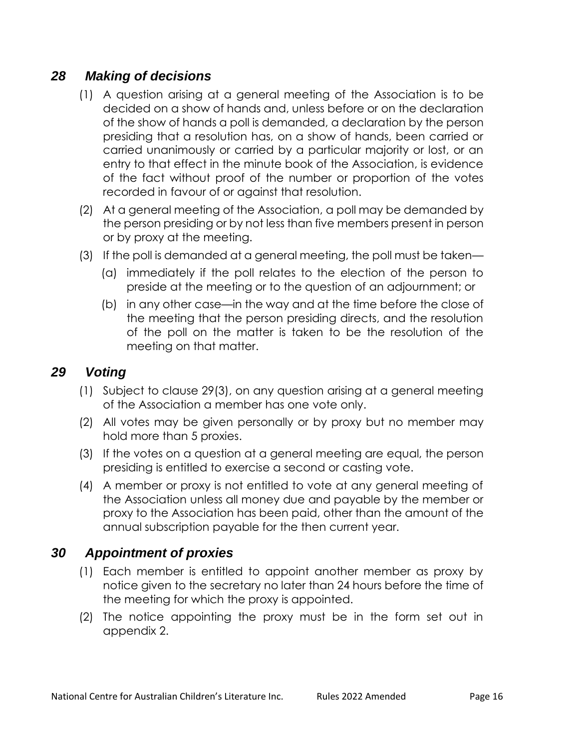#### *28 Making of decisions*

- (1) A question arising at a general meeting of the Association is to be decided on a show of hands and, unless before or on the declaration of the show of hands a poll is demanded, a declaration by the person presiding that a resolution has, on a show of hands, been carried or carried unanimously or carried by a particular majority or lost, or an entry to that effect in the minute book of the Association, is evidence of the fact without proof of the number or proportion of the votes recorded in favour of or against that resolution.
- (2) At a general meeting of the Association, a poll may be demanded by the person presiding or by not less than five members present in person or by proxy at the meeting.
- (3) If the poll is demanded at a general meeting, the poll must be taken—
	- (a) immediately if the poll relates to the election of the person to preside at the meeting or to the question of an adjournment; or
	- (b) in any other case—in the way and at the time before the close of the meeting that the person presiding directs, and the resolution of the poll on the matter is taken to be the resolution of the meeting on that matter.

#### *29 Voting*

- (1) Subject to clause 29(3), on any question arising at a general meeting of the Association a member has one vote only.
- (2) All votes may be given personally or by proxy but no member may hold more than 5 proxies.
- (3) If the votes on a question at a general meeting are equal, the person presiding is entitled to exercise a second or casting vote.
- (4) A member or proxy is not entitled to vote at any general meeting of the Association unless all money due and payable by the member or proxy to the Association has been paid, other than the amount of the annual subscription payable for the then current year.

#### *30 Appointment of proxies*

- (1) Each member is entitled to appoint another member as proxy by notice given to the secretary no later than 24 hours before the time of the meeting for which the proxy is appointed.
- (2) The notice appointing the proxy must be in the form set out in appendix 2.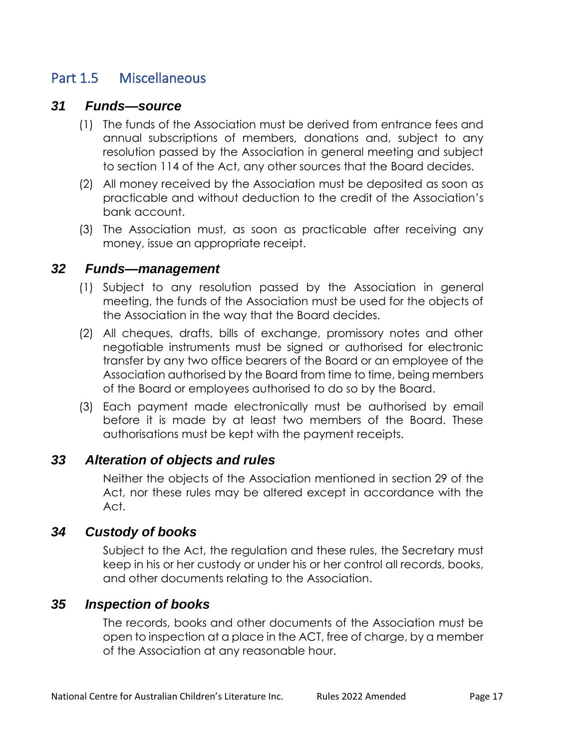### Part 1.5 Miscellaneous

#### *31 Funds—source*

- (1) The funds of the Association must be derived from entrance fees and annual subscriptions of members, donations and, subject to any resolution passed by the Association in general meeting and subject to section 114 of the Act, any other sources that the Board decides.
- (2) All money received by the Association must be deposited as soon as practicable and without deduction to the credit of the Association's bank account.
- (3) The Association must, as soon as practicable after receiving any money, issue an appropriate receipt.

#### *32 Funds—management*

- (1) Subject to any resolution passed by the Association in general meeting, the funds of the Association must be used for the objects of the Association in the way that the Board decides.
- (2) All cheques, drafts, bills of exchange, promissory notes and other negotiable instruments must be signed or authorised for electronic transfer by any two office bearers of the Board or an employee of the Association authorised by the Board from time to time, being members of the Board or employees authorised to do so by the Board.
- (3) Each payment made electronically must be authorised by email before it is made by at least two members of the Board. These authorisations must be kept with the payment receipts.

#### *33 Alteration of objects and rules*

Neither the objects of the Association mentioned in section 29 of the Act, nor these rules may be altered except in accordance with the Act.

#### *34 Custody of books*

Subject to the Act, the regulation and these rules, the Secretary must keep in his or her custody or under his or her control all records, books, and other documents relating to the Association.

#### *35 Inspection of books*

The records, books and other documents of the Association must be open to inspection at a place in the ACT, free of charge, by a member of the Association at any reasonable hour.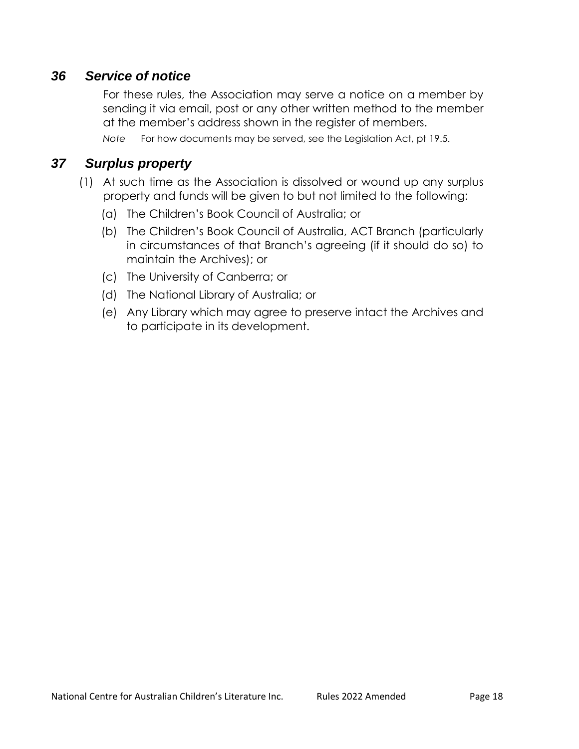#### *36 Service of notice*

For these rules, the Association may serve a notice on a member by sending it via email, post or any other written method to the member at the member's address shown in the register of members.

*Note* For how documents may be served, see the Legislation Act, pt 19.5.

#### *37 Surplus property*

- (1) At such time as the Association is dissolved or wound up any surplus property and funds will be given to but not limited to the following:
	- (a) The Children's Book Council of Australia; or
	- (b) The Children's Book Council of Australia, ACT Branch (particularly in circumstances of that Branch's agreeing (if it should do so) to maintain the Archives); or
	- (c) The University of Canberra; or
	- (d) The National Library of Australia; or
	- (e) Any Library which may agree to preserve intact the Archives and to participate in its development.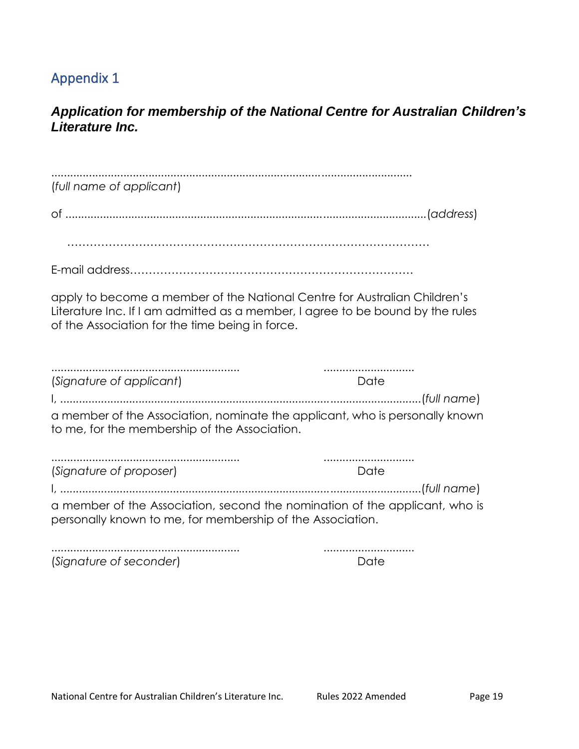# Appendix 1

### *Application for membership of the National Centre for Australian Children's Literature Inc.*

| (full name of applicant)                                                                                                                                                                                       |      |  |  |  |
|----------------------------------------------------------------------------------------------------------------------------------------------------------------------------------------------------------------|------|--|--|--|
|                                                                                                                                                                                                                |      |  |  |  |
|                                                                                                                                                                                                                |      |  |  |  |
|                                                                                                                                                                                                                |      |  |  |  |
| apply to become a member of the National Centre for Australian Children's<br>Literature Inc. If I am admitted as a member, I agree to be bound by the rules<br>of the Association for the time being in force. |      |  |  |  |
| (Signature of applicant)                                                                                                                                                                                       | Date |  |  |  |
| a member of the Association, nominate the applicant, who is personally known<br>to me, for the membership of the Association.                                                                                  |      |  |  |  |
| (Signature of proposer)                                                                                                                                                                                        | Date |  |  |  |
|                                                                                                                                                                                                                |      |  |  |  |
| a member of the Association, second the nomination of the applicant, who is<br>personally known to me, for membership of the Association.                                                                      |      |  |  |  |
| (Signature of seconder)                                                                                                                                                                                        | Date |  |  |  |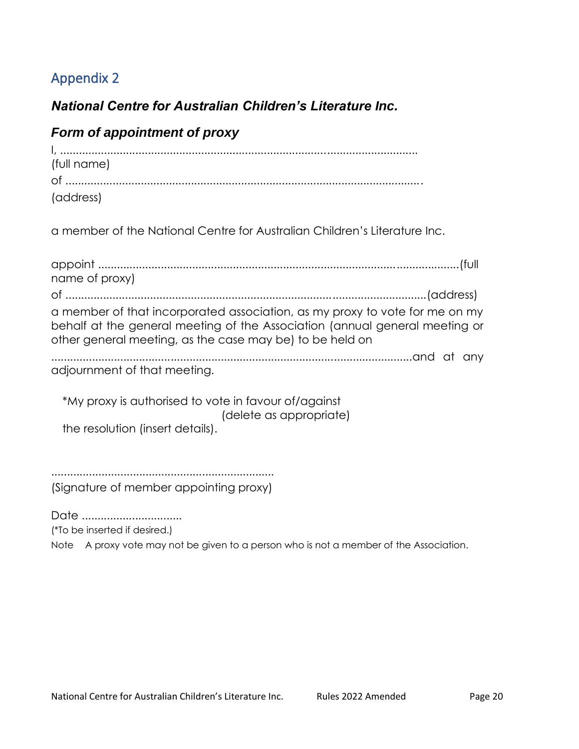# Appendix 2

### *National Centre for Australian Children's Literature Inc.*

### *Form of appointment of proxy*

| (full name) |  |
|-------------|--|
|             |  |
| (address)   |  |

a member of the National Centre for Australian Children's Literature Inc.

appoint ...................................................................................................................(full name of proxy) of ...................................................................................................................(address) a member of that incorporated association, as my proxy to vote for me on my behalf at the general meeting of the Association (annual general meeting or other general meeting, as the case may be) to be held on ...................................................................................................................and at any adjournment of that meeting. \*My proxy is authorised to vote in favour of/against (delete as appropriate) the resolution (insert details). ....................................................................... (Signature of member appointing proxy)

Date ..................................

(\*To be inserted if desired.)

Note A proxy vote may not be given to a person who is not a member of the Association.